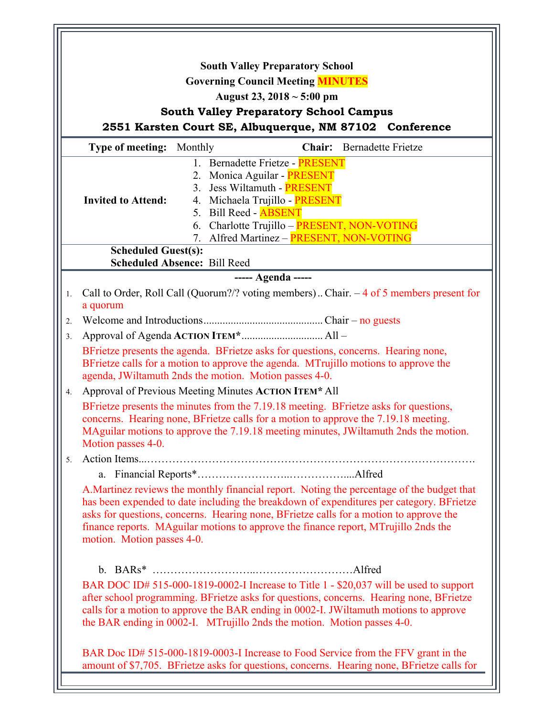|                    | <b>South Valley Preparatory School</b>                                                                                                                                                                                                                                                                                                                                                                |
|--------------------|-------------------------------------------------------------------------------------------------------------------------------------------------------------------------------------------------------------------------------------------------------------------------------------------------------------------------------------------------------------------------------------------------------|
|                    | <b>Governing Council Meeting MINUTES</b>                                                                                                                                                                                                                                                                                                                                                              |
|                    | August 23, $2018 \sim 5:00 \text{ pm}$                                                                                                                                                                                                                                                                                                                                                                |
|                    | <b>South Valley Preparatory School Campus</b>                                                                                                                                                                                                                                                                                                                                                         |
|                    | 2551 Karsten Court SE, Albuquerque, NM 87102 Conference                                                                                                                                                                                                                                                                                                                                               |
|                    | <b>Type of meeting:</b> Monthly<br><b>Chair:</b> Bernadette Frietze                                                                                                                                                                                                                                                                                                                                   |
|                    | 1. Bernadette Frietze - PRESENT                                                                                                                                                                                                                                                                                                                                                                       |
|                    | 2. Monica Aguilar - PRESENT                                                                                                                                                                                                                                                                                                                                                                           |
|                    | 3. Jess Wiltamuth - PRESENT                                                                                                                                                                                                                                                                                                                                                                           |
|                    | 4. Michaela Trujillo - PRESENT<br><b>Invited to Attend:</b>                                                                                                                                                                                                                                                                                                                                           |
|                    | 5. Bill Reed - <b>ABSENT</b>                                                                                                                                                                                                                                                                                                                                                                          |
|                    | Charlotte Trujillo - PRESENT, NON-VOTING<br>6.<br>Alfred Martinez - PRESENT, NON-VOTING<br>$7_{\scriptscriptstyle{\ddots}}$                                                                                                                                                                                                                                                                           |
|                    | <b>Scheduled Guest(s):</b>                                                                                                                                                                                                                                                                                                                                                                            |
|                    | <b>Scheduled Absence: Bill Reed</b>                                                                                                                                                                                                                                                                                                                                                                   |
| ----- Agenda ----- |                                                                                                                                                                                                                                                                                                                                                                                                       |
| 1.                 | Call to Order, Roll Call (Quorum?/? voting members) Chair. $-4$ of 5 members present for<br>a quorum                                                                                                                                                                                                                                                                                                  |
| 2.                 |                                                                                                                                                                                                                                                                                                                                                                                                       |
| 3 <sub>1</sub>     |                                                                                                                                                                                                                                                                                                                                                                                                       |
|                    | BFrietze presents the agenda. BFrietze asks for questions, concerns. Hearing none,                                                                                                                                                                                                                                                                                                                    |
|                    | BFrietze calls for a motion to approve the agenda. MTrujillo motions to approve the<br>agenda, JWiltamuth 2nds the motion. Motion passes 4-0.                                                                                                                                                                                                                                                         |
| 4.                 | Approval of Previous Meeting Minutes ACTION ITEM* All                                                                                                                                                                                                                                                                                                                                                 |
|                    | BFrietze presents the minutes from the 7.19.18 meeting. BFrietze asks for questions,<br>concerns. Hearing none, BFrietze calls for a motion to approve the 7.19.18 meeting.<br>MAguilar motions to approve the 7.19.18 meeting minutes, JWiltamuth 2nds the motion.<br>Motion passes 4-0.                                                                                                             |
| 5.                 |                                                                                                                                                                                                                                                                                                                                                                                                       |
|                    |                                                                                                                                                                                                                                                                                                                                                                                                       |
|                    | A. Martinez reviews the monthly financial report. Noting the percentage of the budget that<br>has been expended to date including the breakdown of expenditures per category. BFrietze<br>asks for questions, concerns. Hearing none, BFrietze calls for a motion to approve the<br>finance reports. MAguilar motions to approve the finance report, MTrujillo 2nds the<br>motion. Motion passes 4-0. |
|                    |                                                                                                                                                                                                                                                                                                                                                                                                       |
|                    | BAR DOC ID# 515-000-1819-0002-I Increase to Title 1 - \$20,037 will be used to support<br>after school programming. BFrietze asks for questions, concerns. Hearing none, BFrietze<br>calls for a motion to approve the BAR ending in 0002-I. JWiltamuth motions to approve<br>the BAR ending in 0002-I. MTrujillo 2nds the motion. Motion passes 4-0.                                                 |
|                    | BAR Doc ID# 515-000-1819-0003-I Increase to Food Service from the FFV grant in the<br>amount of \$7,705. BFrietze asks for questions, concerns. Hearing none, BFrietze calls for                                                                                                                                                                                                                      |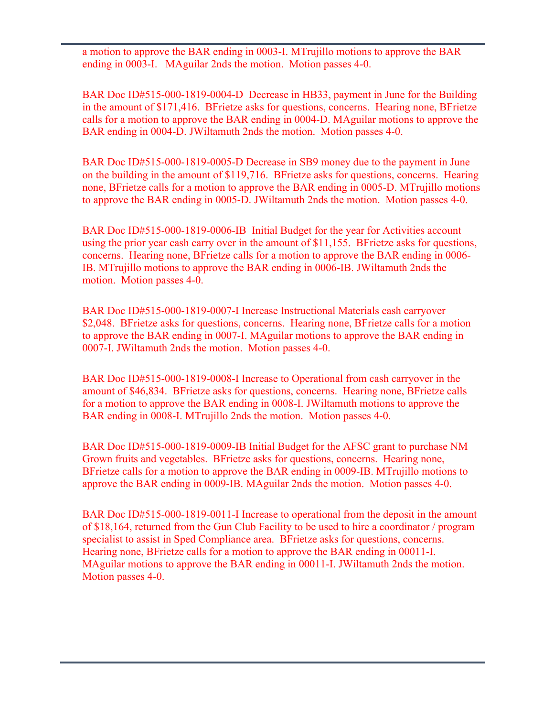a motion to approve the BAR ending in 0003-I. MTrujillo motions to approve the BAR ending in 0003-I. MAguilar 2nds the motion. Motion passes 4-0.

BAR Doc ID#515-000-1819-0004-D Decrease in HB33, payment in June for the Building in the amount of \$171,416. BFrietze asks for questions, concerns. Hearing none, BFrietze calls for a motion to approve the BAR ending in 0004-D. MAguilar motions to approve the BAR ending in 0004-D. JWiltamuth 2nds the motion. Motion passes 4-0.

BAR Doc ID#515-000-1819-0005-D Decrease in SB9 money due to the payment in June on the building in the amount of \$119,716. BFrietze asks for questions, concerns. Hearing none, BFrietze calls for a motion to approve the BAR ending in 0005-D. MTrujillo motions to approve the BAR ending in 0005-D. JWiltamuth 2nds the motion. Motion passes 4-0.

BAR Doc ID#515-000-1819-0006-IB Initial Budget for the year for Activities account using the prior year cash carry over in the amount of \$11,155. BFrietze asks for questions, concerns. Hearing none, BFrietze calls for a motion to approve the BAR ending in 0006- IB. MTrujillo motions to approve the BAR ending in 0006-IB. JWiltamuth 2nds the motion. Motion passes 4-0.

BAR Doc ID#515-000-1819-0007-I Increase Instructional Materials cash carryover \$2,048. BFrietze asks for questions, concerns. Hearing none, BFrietze calls for a motion to approve the BAR ending in 0007-I. MAguilar motions to approve the BAR ending in 0007-I. JWiltamuth 2nds the motion. Motion passes 4-0.

BAR Doc ID#515-000-1819-0008-I Increase to Operational from cash carryover in the amount of \$46,834. BFrietze asks for questions, concerns. Hearing none, BFrietze calls for a motion to approve the BAR ending in 0008-I. JWiltamuth motions to approve the BAR ending in 0008-I. MTrujillo 2nds the motion. Motion passes 4-0.

BAR Doc ID#515-000-1819-0009-IB Initial Budget for the AFSC grant to purchase NM Grown fruits and vegetables. BFrietze asks for questions, concerns. Hearing none, BFrietze calls for a motion to approve the BAR ending in 0009-IB. MTrujillo motions to approve the BAR ending in 0009-IB. MAguilar 2nds the motion. Motion passes 4-0.

BAR Doc ID#515-000-1819-0011-I Increase to operational from the deposit in the amount of \$18,164, returned from the Gun Club Facility to be used to hire a coordinator / program specialist to assist in Sped Compliance area. BFrietze asks for questions, concerns. Hearing none, BFrietze calls for a motion to approve the BAR ending in 00011-I. MAguilar motions to approve the BAR ending in 00011-I. JWiltamuth 2nds the motion. Motion passes 4-0.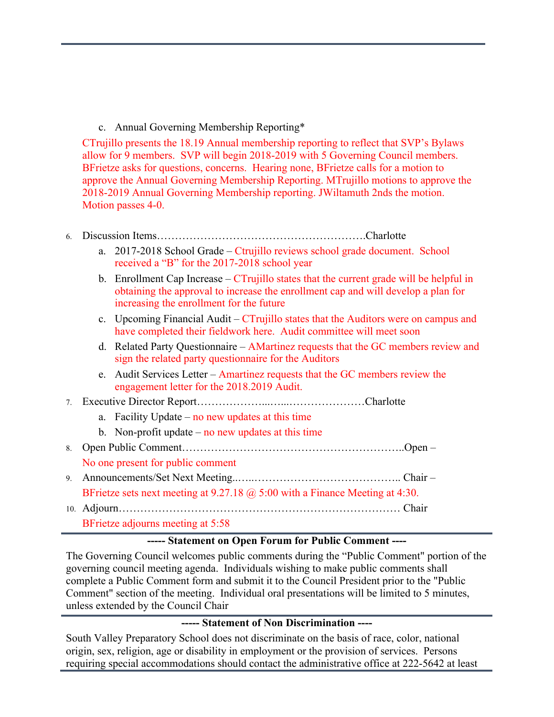### c. Annual Governing Membership Reporting\*

CTrujillo presents the 18.19 Annual membership reporting to reflect that SVP's Bylaws allow for 9 members. SVP will begin 2018-2019 with 5 Governing Council members. BFrietze asks for questions, concerns. Hearing none, BFrietze calls for a motion to approve the Annual Governing Membership Reporting. MTrujillo motions to approve the 2018-2019 Annual Governing Membership reporting. JWiltamuth 2nds the motion. Motion passes 4-0.

## 6. Discussion Items………………………………………………….Charlotte

- a. 2017-2018 School Grade Ctrujillo reviews school grade document. School received a "B" for the 2017-2018 school year
- b. Enrollment Cap Increase  $CTru$  illo states that the current grade will be helpful in obtaining the approval to increase the enrollment cap and will develop a plan for increasing the enrollment for the future
- c. Upcoming Financial Audit CTrujillo states that the Auditors were on campus and have completed their fieldwork here. Audit committee will meet soon
- d. Related Party Questionnaire AMartinez requests that the GC members review and sign the related party questionnaire for the Auditors
- e. Audit Services Letter Amartinez requests that the GC members review the engagement letter for the 2018.2019 Audit.

## 7. Executive Director Report………………...…...…………………Charlotte

- a. Facility Update no new updates at this time
- b. Non-profit update no new updates at this time
- 8. Open Public Comment……………………………………………………..Open –

#### No one present for public comment

- 9. Announcements/Set Next Meeting..…..………………………………….. Chair BFrietze sets next meeting at 9.27.18 @ 5:00 with a Finance Meeting at 4:30.
- 10. Adjourn…………………………………………………………………… Chair

## BFrietze adjourns meeting at 5:58

# **----- Statement on Open Forum for Public Comment ----**

The Governing Council welcomes public comments during the "Public Comment" portion of the governing council meeting agenda. Individuals wishing to make public comments shall complete a Public Comment form and submit it to the Council President prior to the "Public Comment" section of the meeting. Individual oral presentations will be limited to 5 minutes, unless extended by the Council Chair

#### **----- Statement of Non Discrimination ----**

South Valley Preparatory School does not discriminate on the basis of race, color, national origin, sex, religion, age or disability in employment or the provision of services. Persons requiring special accommodations should contact the administrative office at 222-5642 at least